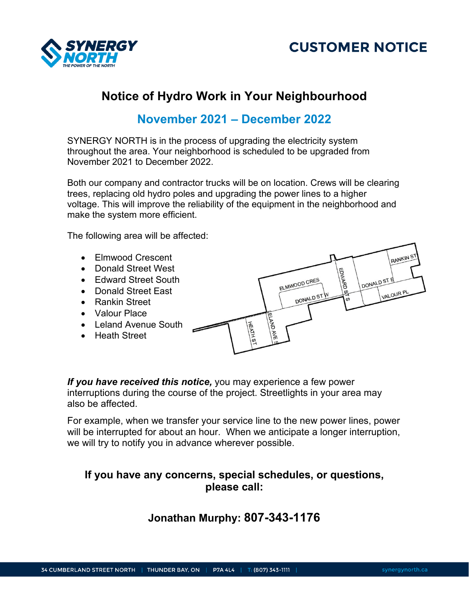



# **Notice of Hydro Work in Your Neighbourhood**

## **November 2021 – December 2022**

SYNERGY NORTH is in the process of upgrading the electricity system throughout the area. Your neighborhood is scheduled to be upgraded from November 2021 to December 2022.

Both our company and contractor trucks will be on location. Crews will be clearing trees, replacing old hydro poles and upgrading the power lines to a higher voltage. This will improve the reliability of the equipment in the neighborhood and make the system more efficient.

The following area will be affected:

- Elmwood Crescent
- Donald Street West
- Edward Street South
- Donald Street East
- Rankin Street
- Valour Place
- Leland Avenue South
- Heath Street



*If you have received this notice,* you may experience a few power interruptions during the course of the project. Streetlights in your area may also be affected.

For example, when we transfer your service line to the new power lines, power will be interrupted for about an hour. When we anticipate a longer interruption, we will try to notify you in advance wherever possible.

### **If you have any concerns, special schedules, or questions, please call:**

### **Jonathan Murphy: 807-343-1176**